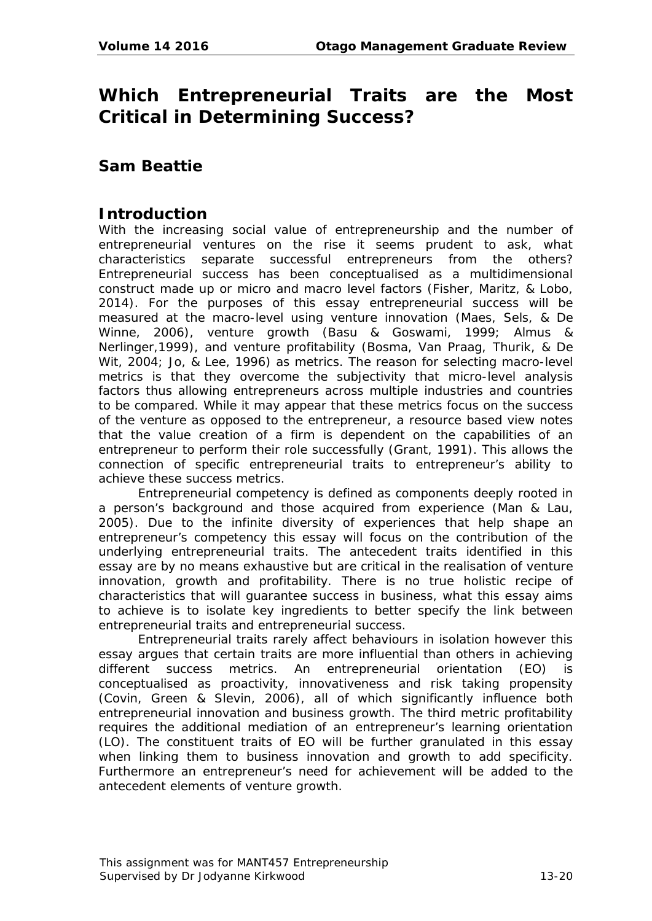# **Which Entrepreneurial Traits are the Most Critical in Determining Success?**

## **Sam Beattie**

## **Introduction**

With the increasing social value of entrepreneurship and the number of entrepreneurial ventures on the rise it seems prudent to ask, what characteristics separate successful entrepreneurs from the others? Entrepreneurial success has been conceptualised as a multidimensional construct made up or micro and macro level factors (Fisher, Maritz, & Lobo, 2014). For the purposes of this essay entrepreneurial success will be measured at the macro-level using venture innovation (Maes, Sels, & De Winne, 2006), venture growth (Basu & Goswami, 1999; Almus & Nerlinger,1999), and venture profitability (Bosma, Van Praag, Thurik, & De Wit, 2004; Jo, & Lee, 1996) as metrics. The reason for selecting macro-level metrics is that they overcome the subjectivity that micro-level analysis factors thus allowing entrepreneurs across multiple industries and countries to be compared. While it may appear that these metrics focus on the success of the venture as opposed to the entrepreneur, a resource based view notes that the value creation of a firm is dependent on the capabilities of an entrepreneur to perform their role successfully (Grant, 1991). This allows the connection of specific entrepreneurial traits to entrepreneur's ability to achieve these success metrics.

Entrepreneurial competency is defined as components deeply rooted in a person's background and those acquired from experience (Man & Lau, 2005). Due to the infinite diversity of experiences that help shape an entrepreneur's competency this essay will focus on the contribution of the underlying entrepreneurial traits. The antecedent traits identified in this essay are by no means exhaustive but are critical in the realisation of venture innovation, growth and profitability. There is no true holistic recipe of characteristics that will guarantee success in business, what this essay aims to achieve is to isolate key ingredients to better specify the link between entrepreneurial traits and entrepreneurial success.

Entrepreneurial traits rarely affect behaviours in isolation however this essay argues that certain traits are more influential than others in achieving different success metrics. An entrepreneurial orientation (EO) is conceptualised as proactivity, innovativeness and risk taking propensity (Covin, Green & Slevin, 2006), all of which significantly influence both entrepreneurial innovation and business growth. The third metric profitability requires the additional mediation of an entrepreneur's learning orientation (LO). The constituent traits of EO will be further granulated in this essay when linking them to business innovation and growth to add specificity. Furthermore an entrepreneur's need for achievement will be added to the antecedent elements of venture growth.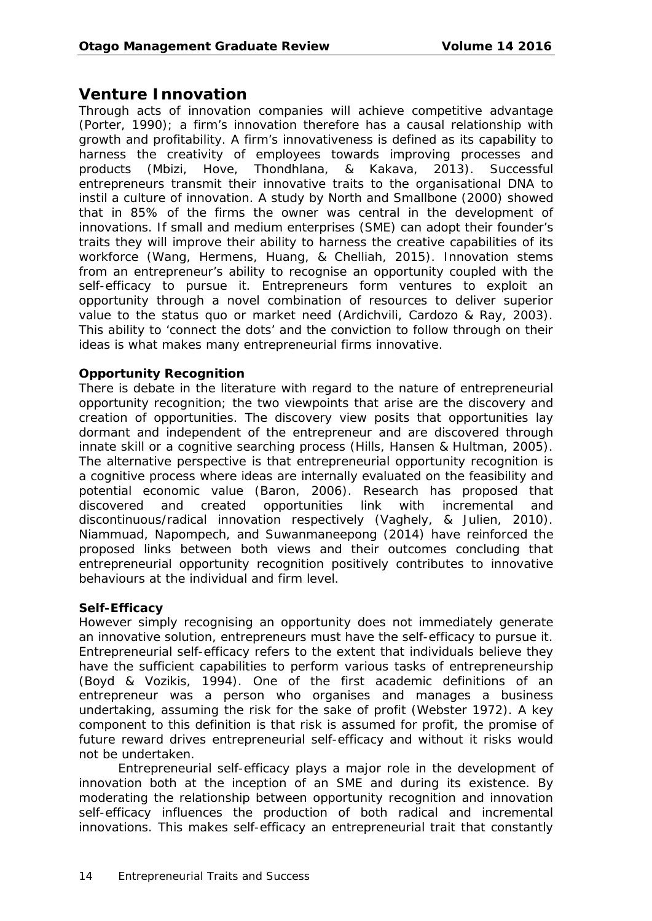## **Venture Innovation**

Through acts of innovation companies will achieve competitive advantage (Porter, 1990); a firm's innovation therefore has a causal relationship with growth and profitability. A firm's innovativeness is defined as its capability to harness the creativity of employees towards improving processes and products (Mbizi, Hove, Thondhlana, & Kakava, 2013). Successful entrepreneurs transmit their innovative traits to the organisational DNA to instil a culture of innovation. A study by North and Smallbone (2000) showed that in 85% of the firms the owner was central in the development of innovations. If small and medium enterprises (SME) can adopt their founder's traits they will improve their ability to harness the creative capabilities of its workforce (Wang, Hermens, Huang, & Chelliah, 2015). Innovation stems from an entrepreneur's ability to recognise an opportunity coupled with the self-efficacy to pursue it. Entrepreneurs form ventures to exploit an opportunity through a novel combination of resources to deliver superior value to the status quo or market need (Ardichvili, Cardozo & Ray, 2003). This ability to 'connect the dots' and the conviction to follow through on their ideas is what makes many entrepreneurial firms innovative.

#### **Opportunity Recognition**

There is debate in the literature with regard to the nature of entrepreneurial opportunity recognition; the two viewpoints that arise are the discovery and creation of opportunities. The discovery view posits that opportunities lay dormant and independent of the entrepreneur and are discovered through innate skill or a cognitive searching process (Hills, Hansen & Hultman, 2005). The alternative perspective is that entrepreneurial opportunity recognition is a cognitive process where ideas are internally evaluated on the feasibility and potential economic value (Baron, 2006). Research has proposed that discovered and created opportunities link with incremental and discontinuous/radical innovation respectively (Vaghely, & Julien, 2010). Niammuad, Napompech, and Suwanmaneepong (2014) have reinforced the proposed links between both views and their outcomes concluding that entrepreneurial opportunity recognition positively contributes to innovative behaviours at the individual and firm level.

#### **Self-Efficacy**

However simply recognising an opportunity does not immediately generate an innovative solution, entrepreneurs must have the self-efficacy to pursue it. Entrepreneurial self-efficacy refers to the extent that individuals believe they have the sufficient capabilities to perform various tasks of entrepreneurship (Boyd & Vozikis, 1994). One of the first academic definitions of an entrepreneur was a person who organises and manages a business undertaking, assuming the risk for the sake of profit (Webster 1972). A key component to this definition is that risk is assumed for profit, the promise of future reward drives entrepreneurial self-efficacy and without it risks would not be undertaken.

Entrepreneurial self-efficacy plays a major role in the development of innovation both at the inception of an SME and during its existence. By moderating the relationship between opportunity recognition and innovation self-efficacy influences the production of both radical and incremental innovations. This makes self-efficacy an entrepreneurial trait that constantly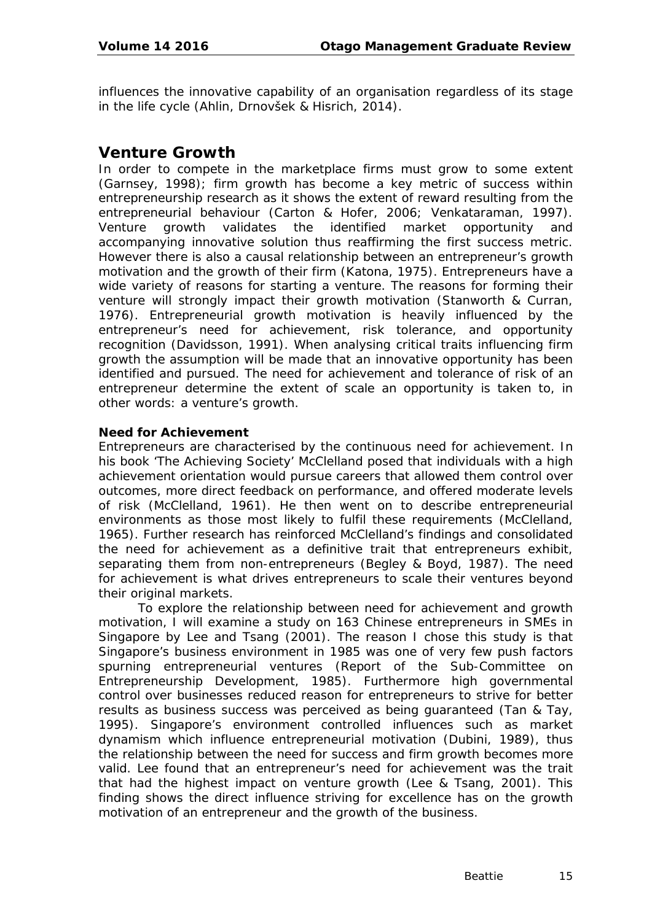influences the innovative capability of an organisation regardless of its stage in the life cycle (Ahlin, Drnovšek & Hisrich, 2014).

## **Venture Growth**

In order to compete in the marketplace firms must grow to some extent (Garnsey, 1998); firm growth has become a key metric of success within entrepreneurship research as it shows the extent of reward resulting from the entrepreneurial behaviour (Carton & Hofer, 2006; Venkataraman, 1997). Venture growth validates the identified market opportunity and accompanying innovative solution thus reaffirming the first success metric. However there is also a causal relationship between an entrepreneur's growth motivation and the growth of their firm (Katona, 1975). Entrepreneurs have a wide variety of reasons for starting a venture. The reasons for forming their venture will strongly impact their growth motivation (Stanworth & Curran, 1976). Entrepreneurial growth motivation is heavily influenced by the entrepreneur's need for achievement, risk tolerance, and opportunity recognition (Davidsson, 1991). When analysing critical traits influencing firm growth the assumption will be made that an innovative opportunity has been identified and pursued. The need for achievement and tolerance of risk of an entrepreneur determine the extent of scale an opportunity is taken to, in other words: a venture's growth.

#### **Need for Achievement**

Entrepreneurs are characterised by the continuous need for achievement. In his book 'The Achieving Society' McClelland posed that individuals with a high achievement orientation would pursue careers that allowed them control over outcomes, more direct feedback on performance, and offered moderate levels of risk (McClelland, 1961). He then went on to describe entrepreneurial environments as those most likely to fulfil these requirements (McClelland, 1965). Further research has reinforced McClelland's findings and consolidated the need for achievement as a definitive trait that entrepreneurs exhibit, separating them from non-entrepreneurs (Begley & Boyd, 1987). The need for achievement is what drives entrepreneurs to scale their ventures beyond their original markets.

To explore the relationship between need for achievement and growth motivation, I will examine a study on 163 Chinese entrepreneurs in SMEs in Singapore by Lee and Tsang (2001). The reason I chose this study is that Singapore's business environment in 1985 was one of very few push factors spurning entrepreneurial ventures (Report of the Sub-Committee on Entrepreneurship Development, 1985). Furthermore high governmental control over businesses reduced reason for entrepreneurs to strive for better results as business success was perceived as being guaranteed (Tan & Tay, 1995). Singapore's environment controlled influences such as market dynamism which influence entrepreneurial motivation (Dubini, 1989), thus the relationship between the need for success and firm growth becomes more valid. Lee found that an entrepreneur's need for achievement was the trait that had the highest impact on venture growth (Lee & Tsang, 2001). This finding shows the direct influence striving for excellence has on the growth motivation of an entrepreneur and the growth of the business.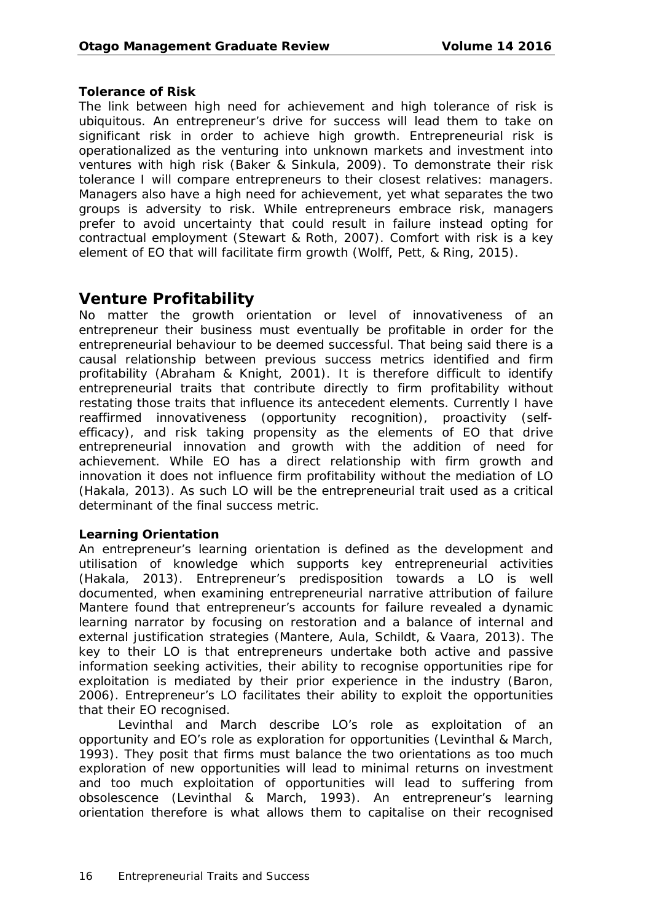#### **Tolerance of Risk**

The link between high need for achievement and high tolerance of risk is ubiquitous. An entrepreneur's drive for success will lead them to take on significant risk in order to achieve high growth. Entrepreneurial risk is operationalized as the venturing into unknown markets and investment into ventures with high risk (Baker & Sinkula, 2009). To demonstrate their risk tolerance I will compare entrepreneurs to their closest relatives: managers. Managers also have a high need for achievement, yet what separates the two groups is adversity to risk. While entrepreneurs embrace risk, managers prefer to avoid uncertainty that could result in failure instead opting for contractual employment (Stewart & Roth, 2007). Comfort with risk is a key element of EO that will facilitate firm growth (Wolff, Pett, & Ring, 2015).

## **Venture Profitability**

No matter the growth orientation or level of innovativeness of an entrepreneur their business must eventually be profitable in order for the entrepreneurial behaviour to be deemed successful. That being said there is a causal relationship between previous success metrics identified and firm profitability (Abraham & Knight, 2001). It is therefore difficult to identify entrepreneurial traits that contribute directly to firm profitability without restating those traits that influence its antecedent elements. Currently I have reaffirmed innovativeness (opportunity recognition), proactivity (selfefficacy), and risk taking propensity as the elements of EO that drive entrepreneurial innovation and growth with the addition of need for achievement. While EO has a direct relationship with firm growth and innovation it does not influence firm profitability without the mediation of LO (Hakala, 2013). As such LO will be the entrepreneurial trait used as a critical determinant of the final success metric.

#### **Learning Orientation**

An entrepreneur's learning orientation is defined as the development and utilisation of knowledge which supports key entrepreneurial activities (Hakala, 2013). Entrepreneur's predisposition towards a LO is well documented, when examining entrepreneurial narrative attribution of failure Mantere found that entrepreneur's accounts for failure revealed a dynamic learning narrator by focusing on restoration and a balance of internal and external justification strategies (Mantere, Aula, Schildt, & Vaara, 2013). The key to their LO is that entrepreneurs undertake both active and passive information seeking activities, their ability to recognise opportunities ripe for exploitation is mediated by their prior experience in the industry (Baron, 2006). Entrepreneur's LO facilitates their ability to exploit the opportunities that their EO recognised.

Levinthal and March describe LO's role as exploitation of an opportunity and EO's role as exploration for opportunities (Levinthal & March, 1993). They posit that firms must balance the two orientations as too much exploration of new opportunities will lead to minimal returns on investment and too much exploitation of opportunities will lead to suffering from obsolescence (Levinthal & March, 1993). An entrepreneur's learning orientation therefore is what allows them to capitalise on their recognised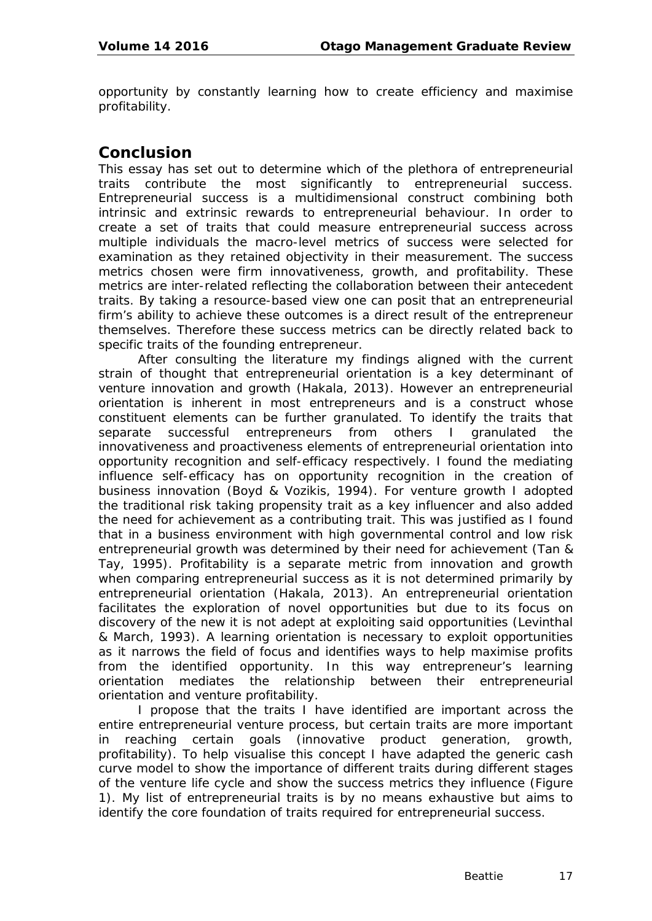opportunity by constantly learning how to create efficiency and maximise profitability.

## **Conclusion**

This essay has set out to determine which of the plethora of entrepreneurial traits contribute the most significantly to entrepreneurial success. Entrepreneurial success is a multidimensional construct combining both intrinsic and extrinsic rewards to entrepreneurial behaviour. In order to create a set of traits that could measure entrepreneurial success across multiple individuals the macro-level metrics of success were selected for examination as they retained objectivity in their measurement. The success metrics chosen were firm innovativeness, growth, and profitability. These metrics are inter-related reflecting the collaboration between their antecedent traits. By taking a resource-based view one can posit that an entrepreneurial firm's ability to achieve these outcomes is a direct result of the entrepreneur themselves. Therefore these success metrics can be directly related back to specific traits of the founding entrepreneur.

After consulting the literature my findings aligned with the current strain of thought that entrepreneurial orientation is a key determinant of venture innovation and growth (Hakala, 2013). However an entrepreneurial orientation is inherent in most entrepreneurs and is a construct whose constituent elements can be further granulated. To identify the traits that separate successful entrepreneurs from others I granulated the innovativeness and proactiveness elements of entrepreneurial orientation into opportunity recognition and self-efficacy respectively. I found the mediating influence self-efficacy has on opportunity recognition in the creation of business innovation (Boyd & Vozikis, 1994). For venture growth I adopted the traditional risk taking propensity trait as a key influencer and also added the need for achievement as a contributing trait. This was justified as I found that in a business environment with high governmental control and low risk entrepreneurial growth was determined by their need for achievement (Tan & Tay, 1995). Profitability is a separate metric from innovation and growth when comparing entrepreneurial success as it is not determined primarily by entrepreneurial orientation (Hakala, 2013). An entrepreneurial orientation facilitates the exploration of novel opportunities but due to its focus on discovery of the new it is not adept at exploiting said opportunities (Levinthal & March, 1993). A learning orientation is necessary to exploit opportunities as it narrows the field of focus and identifies ways to help maximise profits from the identified opportunity. In this way entrepreneur's learning orientation mediates the relationship between their entrepreneurial orientation and venture profitability.

I propose that the traits I have identified are important across the entire entrepreneurial venture process, but certain traits are more important in reaching certain goals (innovative product generation, growth, profitability). To help visualise this concept I have adapted the generic cash curve model to show the importance of different traits during different stages of the venture life cycle and show the success metrics they influence (Figure 1). My list of entrepreneurial traits is by no means exhaustive but aims to identify the core foundation of traits required for entrepreneurial success.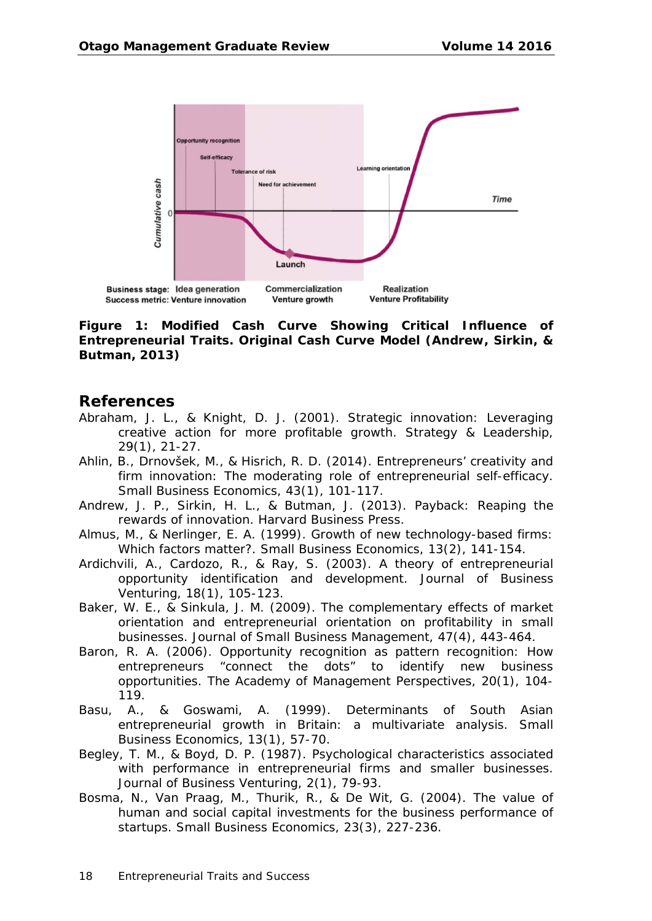

**Figure 1: Modified Cash Curve Showing Critical Influence of Entrepreneurial Traits. Original Cash Curve Model (Andrew, Sirkin, & Butman, 2013)**

#### **References**

- Abraham, J. L., & Knight, D. J. (2001). Strategic innovation: Leveraging creative action for more profitable growth. *Strategy & Leadership, 29*(1), 21-27.
- Ahlin, B., Drnovšek, M., & Hisrich, R. D. (2014). Entrepreneurs' creativity and firm innovation: The moderating role of entrepreneurial self-efficacy. *Small Business Economics, 43*(1), 101-117.
- Andrew, J. P., Sirkin, H. L., & Butman, J. (2013). *Payback: Reaping the rewards of innovation.* Harvard Business Press.
- Almus, M., & Nerlinger, E. A. (1999). Growth of new technology-based firms: Which factors matter?. *Small Business Economics, 13*(2), 141-154.
- Ardichvili, A., Cardozo, R., & Ray, S. (2003). A theory of entrepreneurial opportunity identification and development. *Journal of Business Venturing, 18*(1), 105-123.
- Baker, W. E., & Sinkula, J. M. (2009). The complementary effects of market orientation and entrepreneurial orientation on profitability in small businesses. *Journal of Small Business Management, 47*(4), 443-464.
- Baron, R. A. (2006). Opportunity recognition as pattern recognition: How entrepreneurs "connect the dots" to identify new business opportunities. *The Academy of Management Perspectives, 20*(1), 104- 119.
- Basu, A., & Goswami, A. (1999). Determinants of South Asian entrepreneurial growth in Britain: a multivariate analysis. S*mall Business Economics, 13*(1), 57-70.
- Begley, T. M., & Boyd, D. P. (1987). Psychological characteristics associated with performance in entrepreneurial firms and smaller businesses. *Journal of Business Venturing, 2*(1), 79-93.
- Bosma, N., Van Praag, M., Thurik, R., & De Wit, G. (2004). The value of human and social capital investments for the business performance of startups. *Small Business Economics, 23*(3), 227-236.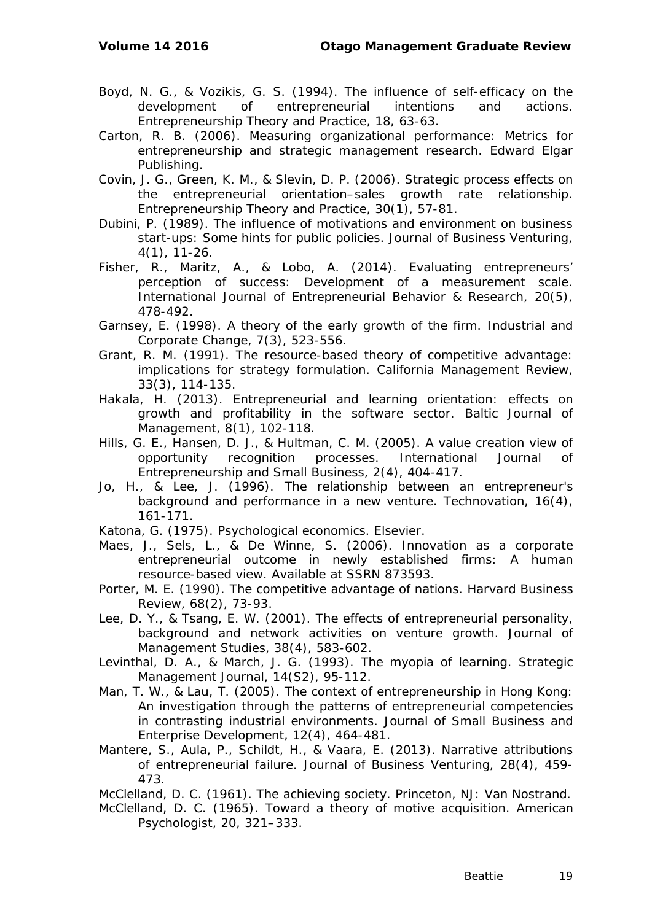- Boyd, N. G., & Vozikis, G. S. (1994). The influence of self-efficacy on the development of entrepreneurial intentions and actions. *Entrepreneurship Theory and Practice, 18*, 63-63.
- Carton, R. B. (2006). *Measuring organizational performance: Metrics for entrepreneurship and strategic management research.* Edward Elgar Publishing.
- Covin, J. G., Green, K. M., & Slevin, D. P. (2006). Strategic process effects on the entrepreneurial orientation–sales growth rate relationship. *Entrepreneurship Theory and Practice, 30*(1), 57-81.
- Dubini, P. (1989). The influence of motivations and environment on business start-ups: Some hints for public policies. *Journal of Business Venturing, 4*(1), 11-26.
- Fisher, R., Maritz, A., & Lobo, A. (2014). Evaluating entrepreneurs' perception of success: Development of a measurement scale. *International Journal of Entrepreneurial Behavior & Research, 20*(5), 478-492.
- Garnsey, E. (1998). A theory of the early growth of the firm. *Industrial and Corporate Change, 7*(3), 523-556.
- Grant, R. M. (1991). The resource-based theory of competitive advantage: implications for strategy formulation. *California Management Review, 33*(3), 114-135.
- Hakala, H. (2013). Entrepreneurial and learning orientation: effects on growth and profitability in the software sector. *Baltic Journal of Management, 8*(1), 102-118.
- Hills, G. E., Hansen, D. J., & Hultman, C. M. (2005). A value creation view of opportunity recognition processes. *International Journal of Entrepreneurship and Small Business, 2*(4), 404-417.
- Jo, H., & Lee, J. (1996). The relationship between an entrepreneur's background and performance in a new venture. *Technovation, 16*(4), 161-171.
- Katona, G. (1975). *Psychological economics.* Elsevier.
- Maes, J., Sels, L., & De Winne, S. (2006). *Innovation as a corporate entrepreneurial outcome in newly established firms: A human resource-based view*. Available at SSRN 873593.
- Porter, M. E. (1990). The competitive advantage of nations. *Harvard Business Review, 68*(2), 73-93.
- Lee, D. Y., & Tsang, E. W. (2001). The effects of entrepreneurial personality, background and network activities on venture growth. *Journal of Management Studies, 38*(4), 583-602.
- Levinthal, D. A., & March, J. G. (1993). The myopia of learning. *Strategic Management Journal, 14*(S2), 95-112.
- Man, T. W., & Lau, T. (2005). The context of entrepreneurship in Hong Kong: An investigation through the patterns of entrepreneurial competencies in contrasting industrial environments. *Journal of Small Business and Enterprise Development, 12*(4), 464-481.
- Mantere, S., Aula, P., Schildt, H., & Vaara, E. (2013). Narrative attributions of entrepreneurial failure. *Journal of Business Venturing, 28*(4), 459- 473.

McClelland, D. C. (1961). *The achieving society*. Princeton, NJ: Van Nostrand.

McClelland, D. C. (1965). Toward a theory of motive acquisition. *American Psychologist, 20,* 321–333.